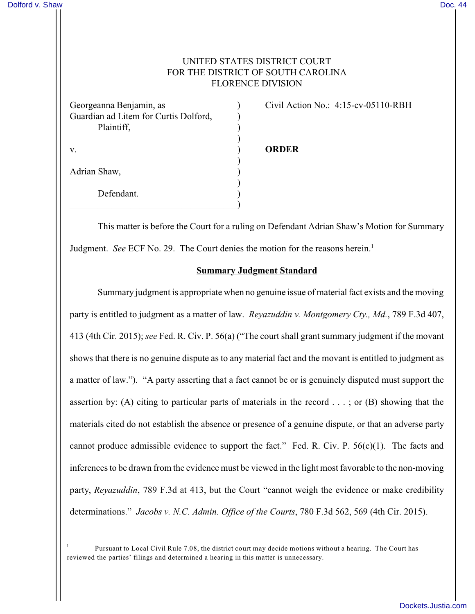# UNITED STATES DISTRICT COURT FOR THE DISTRICT OF SOUTH CAROLINA FLORENCE DIVISION

| Georgeanna Benjamin, as                             |  |
|-----------------------------------------------------|--|
| Guardian ad Litem for Curtis Dolford,<br>Plaintiff, |  |
|                                                     |  |
| V.                                                  |  |
| Adrian Shaw,                                        |  |
| Defendant.                                          |  |

Civil Action No.: 4:15-cv-05110-RBH

#### v. ) **ORDER**

This matter is before the Court for a ruling on Defendant Adrian Shaw's Motion for Summary Judgment. *See* ECF No. 29. The Court denies the motion for the reasons herein.<sup>1</sup>

### **Summary Judgment Standard**

Summary judgment is appropriate when no genuine issue of material fact exists and the moving party is entitled to judgment as a matter of law. *Reyazuddin v. Montgomery Cty., Md.*, 789 F.3d 407, 413 (4th Cir. 2015); *see* Fed. R. Civ. P. 56(a) ("The court shall grant summary judgment if the movant shows that there is no genuine dispute as to any material fact and the movant is entitled to judgment as a matter of law."). "A party asserting that a fact cannot be or is genuinely disputed must support the assertion by: (A) citing to particular parts of materials in the record . . . ; or (B) showing that the materials cited do not establish the absence or presence of a genuine dispute, or that an adverse party cannot produce admissible evidence to support the fact." Fed. R. Civ. P. 56(c)(1). The facts and inferences to be drawn from the evidence must be viewed in the light most favorable to the non-moving party, *Reyazuddin*, 789 F.3d at 413, but the Court "cannot weigh the evidence or make credibility determinations." *Jacobs v. N.C. Admin. Office of the Courts*, 780 F.3d 562, 569 (4th Cir. 2015).

Pursuant to Local Civil Rule 7.08, the district court may decide motions without a hearing. The Court has <sup>1</sup> reviewed the parties' filings and determined a hearing in this matter is unnecessary.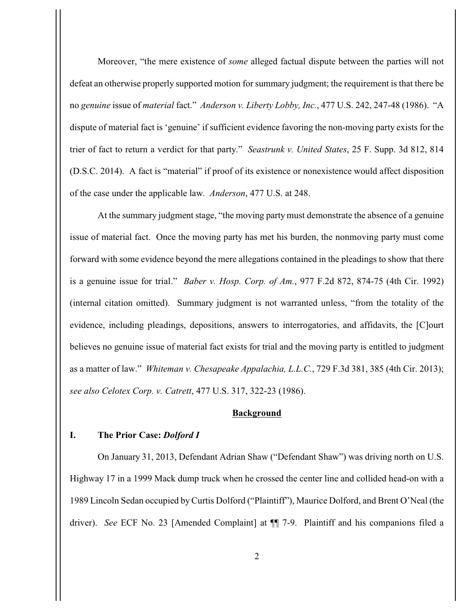Moreover, "the mere existence of *some* alleged factual dispute between the parties will not defeat an otherwise properly supported motion for summary judgment; the requirement is that there be no *genuine* issue of *material* fact." *Anderson v. Liberty Lobby, Inc.*, 477 U.S. 242, 247-48 (1986). "A dispute of material fact is 'genuine' if sufficient evidence favoring the non-moving party exists for the trier of fact to return a verdict for that party." *Seastrunk v. United States*, 25 F. Supp. 3d 812, 814 (D.S.C. 2014). A fact is "material" if proof of its existence or nonexistence would affect disposition of the case under the applicable law. *Anderson*, 477 U.S. at 248.

At the summary judgment stage, "the moving party must demonstrate the absence of a genuine issue of material fact. Once the moving party has met his burden, the nonmoving party must come forward with some evidence beyond the mere allegations contained in the pleadings to show that there is a genuine issue for trial." *Baber v. Hosp. Corp. of Am.*, 977 F.2d 872, 874-75 (4th Cir. 1992) (internal citation omitted). Summary judgment is not warranted unless, "from the totality of the evidence, including pleadings, depositions, answers to interrogatories, and affidavits, the [C]ourt believes no genuine issue of material fact exists for trial and the moving party is entitled to judgment as a matter of law." *Whiteman v. Chesapeake Appalachia, L.L.C.*, 729 F.3d 381, 385 (4th Cir. 2013); *see also Celotex Corp. v. Catrett*, 477 U.S. 317, 322-23 (1986).

#### **Background**

### **I. The Prior Case:** *Dolford I*

On January 31, 2013, Defendant Adrian Shaw ("Defendant Shaw") was driving north on U.S. Highway 17 in a 1999 Mack dump truck when he crossed the center line and collided head-on with a 1989 Lincoln Sedan occupied by Curtis Dolford ("Plaintiff"), Maurice Dolford, and Brent O'Neal (the driver). *See* ECF No. 23 [Amended Complaint] at ¶¶ 7-9. Plaintiff and his companions filed a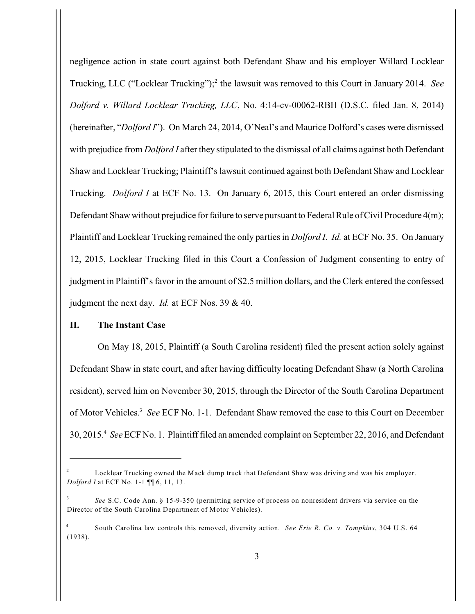negligence action in state court against both Defendant Shaw and his employer Willard Locklear Trucking, LLC ("Locklear Trucking");<sup>2</sup> the lawsuit was removed to this Court in January 2014. *See Dolford v. Willard Locklear Trucking, LLC*, No. 4:14-cv-00062-RBH (D.S.C. filed Jan. 8, 2014) (hereinafter, "*Dolford I*"). On March 24, 2014, O'Neal's and Maurice Dolford's cases were dismissed with prejudice from *Dolford I* after they stipulated to the dismissal of all claims against both Defendant Shaw and Locklear Trucking; Plaintiff's lawsuit continued against both Defendant Shaw and Locklear Trucking. *Dolford I* at ECF No. 13. On January 6, 2015, this Court entered an order dismissing Defendant Shaw without prejudice for failure to serve pursuant to Federal Rule of Civil Procedure 4(m); Plaintiff and Locklear Trucking remained the only parties in *Dolford I*. *Id.* at ECF No. 35. On January 12, 2015, Locklear Trucking filed in this Court a Confession of Judgment consenting to entry of judgment in Plaintiff's favor in the amount of \$2.5 million dollars, and the Clerk entered the confessed judgment the next day. *Id.* at ECF Nos. 39 & 40.

#### **II. The Instant Case**

On May 18, 2015, Plaintiff (a South Carolina resident) filed the present action solely against Defendant Shaw in state court, and after having difficulty locating Defendant Shaw (a North Carolina resident), served him on November 30, 2015, through the Director of the South Carolina Department of Motor Vehicles.<sup>3</sup> See ECF No. 1-1. Defendant Shaw removed the case to this Court on December 30, 2015. *See* ECF No. 1. Plaintiff filed an amended complaint on September 22, 2016, and Defendant <sup>4</sup>

 $\mu$ <sup>2</sup> Locklear Trucking owned the Mack dump truck that Defendant Shaw was driving and was his employer. *Dolford I* at ECF No. 1-1 ¶¶ 6, 11, 13.

*See* S.C. Code Ann. § 15-9-350 (permitting service of process on nonresident drivers via service on the Director of the South Carolina Department of Motor Vehicles).

South Carolina law controls this removed, diversity action. *See Erie R. Co. v. Tompkins*, 304 U.S. 64 <sup>4</sup> (1938).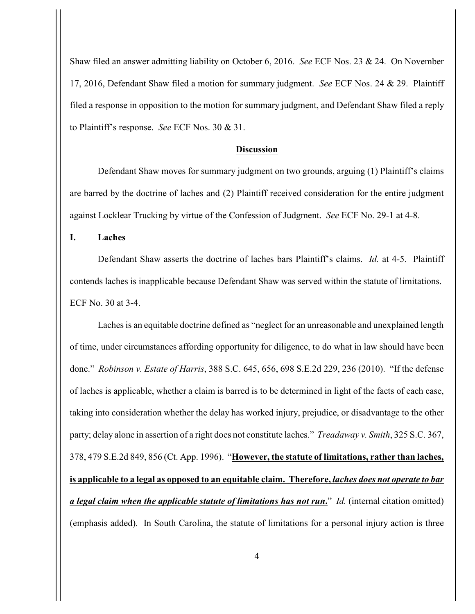Shaw filed an answer admitting liability on October 6, 2016. *See* ECF Nos. 23 & 24. On November 17, 2016, Defendant Shaw filed a motion for summary judgment. *See* ECF Nos. 24 & 29. Plaintiff filed a response in opposition to the motion for summary judgment, and Defendant Shaw filed a reply to Plaintiff's response. *See* ECF Nos. 30 & 31.

#### **Discussion**

Defendant Shaw moves for summary judgment on two grounds, arguing (1) Plaintiff's claims are barred by the doctrine of laches and (2) Plaintiff received consideration for the entire judgment against Locklear Trucking by virtue of the Confession of Judgment. *See* ECF No. 29-1 at 4-8.

**I. Laches**

Defendant Shaw asserts the doctrine of laches bars Plaintiff's claims. *Id.* at 4-5. Plaintiff contends laches is inapplicable because Defendant Shaw was served within the statute of limitations. ECF No. 30 at 3-4.

Laches is an equitable doctrine defined as "neglect for an unreasonable and unexplained length of time, under circumstances affording opportunity for diligence, to do what in law should have been done." *Robinson v. Estate of Harris*, 388 S.C. 645, 656, 698 S.E.2d 229, 236 (2010). "If the defense of laches is applicable, whether a claim is barred is to be determined in light of the facts of each case, taking into consideration whether the delay has worked injury, prejudice, or disadvantage to the other party; delay alone in assertion of a right does not constitute laches." *Treadaway v. Smith*, 325 S.C. 367, 378, 479 S.E.2d 849, 856 (Ct. App. 1996). "**However, the statute of limitations, rather than laches, is applicable to a legal as opposed to an equitable claim. Therefore,** *laches does not operate to bar a legal claim when the applicable statute of limitations has not run***.**" *Id.* (internal citation omitted) (emphasis added). In South Carolina, the statute of limitations for a personal injury action is three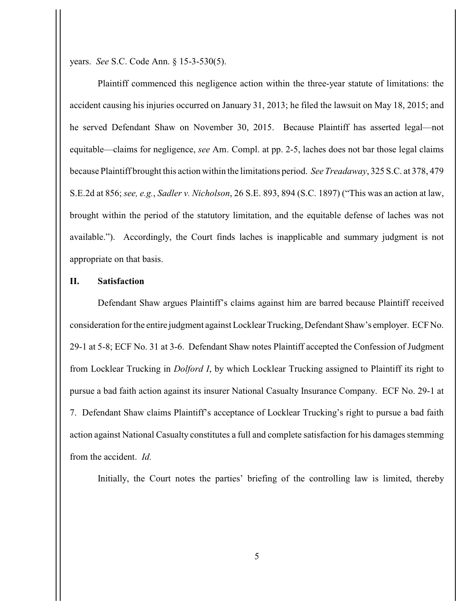years. *See* S.C. Code Ann. § 15-3-530(5).

Plaintiff commenced this negligence action within the three-year statute of limitations: the accident causing his injuries occurred on January 31, 2013; he filed the lawsuit on May 18, 2015; and he served Defendant Shaw on November 30, 2015. Because Plaintiff has asserted legal—not equitable—claims for negligence, *see* Am. Compl. at pp. 2-5, laches does not bar those legal claims because Plaintiff brought this action within the limitations period. *See Treadaway*, 325 S.C. at 378, 479 S.E.2d at 856; *see, e.g.*, *Sadler v. Nicholson*, 26 S.E. 893, 894 (S.C. 1897) ("This was an action at law, brought within the period of the statutory limitation, and the equitable defense of laches was not available."). Accordingly, the Court finds laches is inapplicable and summary judgment is not appropriate on that basis.

## **II. Satisfaction**

Defendant Shaw argues Plaintiff's claims against him are barred because Plaintiff received consideration for the entire judgment against Locklear Trucking, Defendant Shaw's employer. ECF No. 29-1 at 5-8; ECF No. 31 at 3-6. Defendant Shaw notes Plaintiff accepted the Confession of Judgment from Locklear Trucking in *Dolford I*, by which Locklear Trucking assigned to Plaintiff its right to pursue a bad faith action against its insurer National Casualty Insurance Company. ECF No. 29-1 at 7. Defendant Shaw claims Plaintiff's acceptance of Locklear Trucking's right to pursue a bad faith action against National Casualty constitutes a full and complete satisfaction for his damages stemming from the accident. *Id.*

Initially, the Court notes the parties' briefing of the controlling law is limited, thereby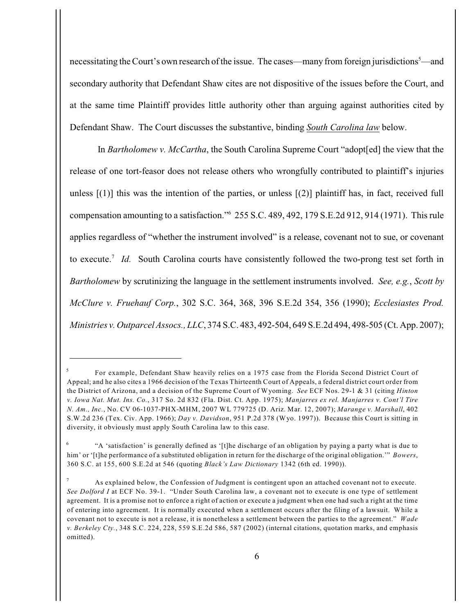necessitating the Court's own research of the issue. The cases—many from foreign jurisdictions<sup>5</sup>—and secondary authority that Defendant Shaw cites are not dispositive of the issues before the Court, and at the same time Plaintiff provides little authority other than arguing against authorities cited by Defendant Shaw. The Court discusses the substantive, binding *South Carolina law* below.

In *Bartholomew v. McCartha*, the South Carolina Supreme Court "adopt[ed] the view that the release of one tort-feasor does not release others who wrongfully contributed to plaintiff's injuries unless  $[(1)]$  this was the intention of the parties, or unless  $[(2)]$  plaintiff has, in fact, received full compensation amounting to a satisfaction."  $255$  S.C. 489, 492, 179 S.E.2d 912, 914 (1971). This rule applies regardless of "whether the instrument involved" is a release, covenant not to sue, or covenant to execute.<sup>7</sup> Id. South Carolina courts have consistently followed the two-prong test set forth in *Bartholomew* by scrutinizing the language in the settlement instruments involved. *See, e.g.*, *Scott by McClure v. Fruehauf Corp.*, 302 S.C. 364, 368, 396 S.E.2d 354, 356 (1990); *Ecclesiastes Prod. Ministries v. Outparcel Assocs., LLC*, 374 S.C. 483, 492-504, 649 S.E.2d 494, 498-505 (Ct. App. 2007);

For example, Defendant Shaw heavily relies on a 1975 case from the Florida Second District Court of Appeal; and he also cites a 1966 decision of the Texas Thirteenth Court of Appeals, a federal district court order from the District of Arizona, and a decision of the Supreme Court of Wyoming. *See* ECF Nos. 29-1 & 31 (citing *Hinton v. Iowa Nat. Mut. Ins. Co.*, 317 So. 2d 832 (Fla. Dist. Ct. App. 1975); *Manjarres ex rel. Manjarres v. Cont'l Tire N. Am., Inc.*, No. CV 06-1037-PHX-MHM, 2007 WL 779725 (D. Ariz. Mar. 12, 2007); *Marange v. Marshall*, 402 S.W.2d 236 (Tex. Civ. App. 1966); *Day v. Davidson*, 951 P.2d 378 (Wyo. 1997)). Because this Court is sitting in diversity, it obviously must apply South Carolina law to this case.

<sup>&</sup>quot;A 'satisfaction' is generally defined as '[t]he discharge of an obligation by paying a party what is due to <sup>6</sup> him' or '[t]he performance of a substituted obligation in return for the discharge of the original obligation.'" *Bowers*, 360 S.C. at 155, 600 S.E.2d at 546 (quoting *Black's Law Dictionary* 1342 (6th ed. 1990)).

As explained below, the Confession of Judgment is contingent upon an attached covenant not to execute. <sup>7</sup> *See Dolford I* at ECF No. 39-1. "Under South Carolina law, a covenant not to execute is one type of settlement agreement. It is a promise not to enforce a right of action or execute a judgment when one had such a right at the time of entering into agreement. It is normally executed when a settlement occurs after the filing of a lawsuit. While a covenant not to execute is not a release, it is nonetheless a settlement between the parties to the agreement." *Wade v. Berkeley Cty.*, 348 S.C. 224, 228, 559 S.E.2d 586, 587 (2002) (internal citations, quotation marks, and emphasis omitted).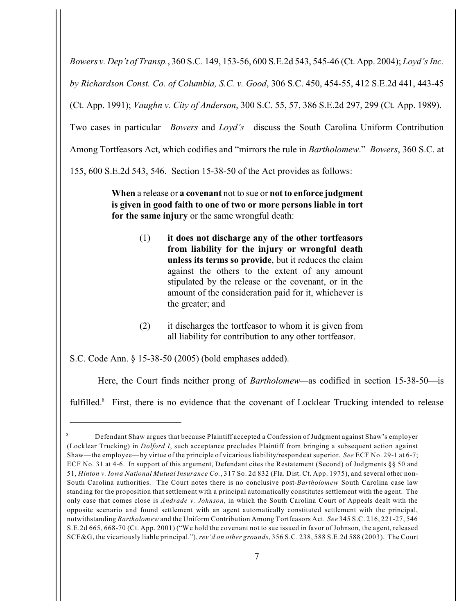*Bowers v. Dep't of Transp.*, 360 S.C. 149, 153-56, 600 S.E.2d 543, 545-46 (Ct. App. 2004); *Loyd's Inc. by Richardson Const. Co. of Columbia, S.C. v. Good*, 306 S.C. 450, 454-55, 412 S.E.2d 441, 443-45 (Ct. App. 1991); *Vaughn v. City of Anderson*, 300 S.C. 55, 57, 386 S.E.2d 297, 299 (Ct. App. 1989). Two cases in particular—*Bowers* and *Loyd's*—discuss the South Carolina Uniform Contribution Among Tortfeasors Act, which codifies and "mirrors the rule in *Bartholomew*." *Bowers*, 360 S.C. at 155, 600 S.E.2d 543, 546. Section 15-38-50 of the Act provides as follows:

> **When** a release or **a covenant** not to sue or **not to enforce judgment is given in good faith to one of two or more persons liable in tort for the same injury** or the same wrongful death:

- (1) **it does not discharge any of the other tortfeasors from liability for the injury or wrongful death unless its terms so provide**, but it reduces the claim against the others to the extent of any amount stipulated by the release or the covenant, or in the amount of the consideration paid for it, whichever is the greater; and
- (2) it discharges the tortfeasor to whom it is given from all liability for contribution to any other tortfeasor.

S.C. Code Ann. § 15-38-50 (2005) (bold emphases added).

Here, the Court finds neither prong of *Bartholomew—*as codified in section 15-38-50—is

fulfilled.<sup>8</sup> First, there is no evidence that the covenant of Locklear Trucking intended to release

Defendant Shaw argues that because Plaintiff accepted a Confession of Judgment against Shaw's employer <sup>8</sup> (Locklear Trucking) in *Dolford I*, such acceptance precludes Plaintiff from bringing a subsequent action against Shaw—the employee—by virtue of the principle of vicarious liability/respondeat superior. *See* ECF No. 29-1 at 6-7; ECF No. 31 at 4-6. In support of this argument, Defendant cites the Restatement (Second) of Judgments §§ 50 and 51, *Hinton v. Iowa National Mutual Insurance Co.*, 317 So. 2d 832 (Fla. Dist. Ct. App. 1975), and several other non-South Carolina authorities. The Court notes there is no conclusive post-*Bartholomew* South Carolina case law standing for the proposition that settlement with a principal automatically constitutes settlement with the agent. The only case that comes close is *Andrade v. Johnson*, in which the South Carolina Court of Appeals dealt with the opposite scenario and found settlement with an agent automatically constituted settlement with the principal, notwithstanding *Bartholomew* and the Uniform Contribution Among Tortfeasors Act. *See* 345 S.C. 216, 221-27, 546 S.E.2d 665, 668-70 (Ct. App. 2001) ("We hold the covenant not to sue issued in favor of Johnson, the agent, released SCE&G, the vicariously liable principal."), *rev'd on other grounds*, 356 S.C. 238, 588 S.E.2d 588 (2003). The Court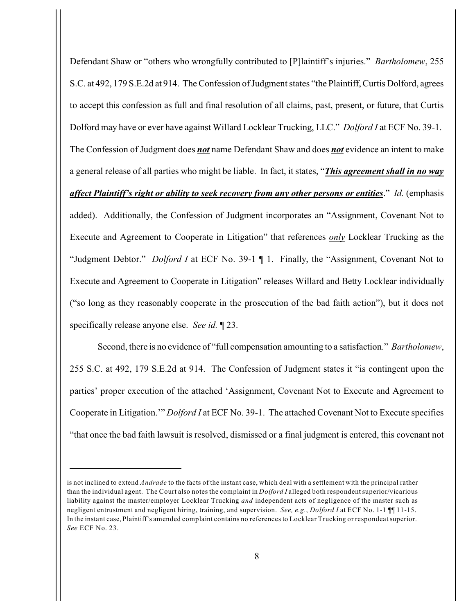Defendant Shaw or "others who wrongfully contributed to [P]laintiff's injuries." *Bartholomew*, 255 S.C. at 492, 179 S.E.2d at 914. The Confession of Judgment states "the Plaintiff, Curtis Dolford, agrees to accept this confession as full and final resolution of all claims, past, present, or future, that Curtis Dolford may have or ever have against Willard Locklear Trucking, LLC." *Dolford I* at ECF No. 39-1. The Confession of Judgment does *not* name Defendant Shaw and does *not* evidence an intent to make a general release of all parties who might be liable. In fact, it states, "*This agreement shall in no way affect Plaintiff's right or ability to seek recovery from any other persons or entities*." *Id.* (emphasis added). Additionally, the Confession of Judgment incorporates an "Assignment, Covenant Not to Execute and Agreement to Cooperate in Litigation" that references *only* Locklear Trucking as the "Judgment Debtor." *Dolford I* at ECF No. 39-1 ¶ 1. Finally, the "Assignment, Covenant Not to Execute and Agreement to Cooperate in Litigation" releases Willard and Betty Locklear individually ("so long as they reasonably cooperate in the prosecution of the bad faith action"), but it does not specifically release anyone else. *See id.* ¶ 23.

Second, there is no evidence of "full compensation amounting to a satisfaction." *Bartholomew*, 255 S.C. at 492, 179 S.E.2d at 914. The Confession of Judgment states it "is contingent upon the parties' proper execution of the attached 'Assignment, Covenant Not to Execute and Agreement to Cooperate in Litigation.'" *Dolford I* at ECF No. 39-1. The attached Covenant Not to Execute specifies "that once the bad faith lawsuit is resolved, dismissed or a final judgment is entered, this covenant not

is not inclined to extend *Andrade* to the facts of the instant case, which deal with a settlement with the principal rather than the individual agent. The Court also notes the complaint in *Dolford I* alleged both respondent superior/vicarious liability against the master/employer Locklear Trucking *and* independent acts of negligence of the master such as negligent entrustment and negligent hiring, training, and supervision. *See, e.g.*, *Dolford I* at ECF No. 1-1 ¶¶ 11-15. In the instant case, Plaintiff's amended complaint contains no references to Locklear Trucking or respondeat superior. *See* ECF No. 23.